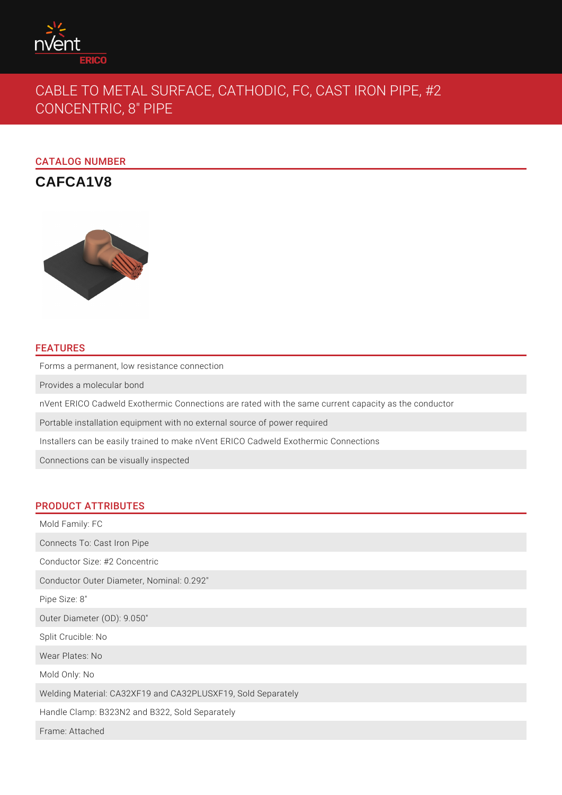

# CABLE TO METAL SURFACE, CATHODIC, FC, CAST IRON PIPE, #2 CONCENTRIC, 8" PIPE

# CATALOG NUMBER

**CAFCA1V8**



## FEATURES

Forms a permanent, low resistance connection

Provides a molecular bond

nVent ERICO Cadweld Exothermic Connections are rated with the same current capacity as the conductor

Portable installation equipment with no external source of power required

Installers can be easily trained to make nVent ERICO Cadweld Exothermic Connections

Connections can be visually inspected

### PRODUCT ATTRIBUTES

Mold Family: FC Connects To: Cast Iron Pipe Conductor Size: #2 Concentric Conductor Outer Diameter, Nominal: 0.292" Pipe Size: 8" Outer Diameter (OD): 9.050" Split Crucible: No Wear Plates: No Mold Only: No Welding Material: CA32XF19 and CA32PLUSXF19, Sold Separately Handle Clamp: B323N2 and B322, Sold Separately Frame: Attached